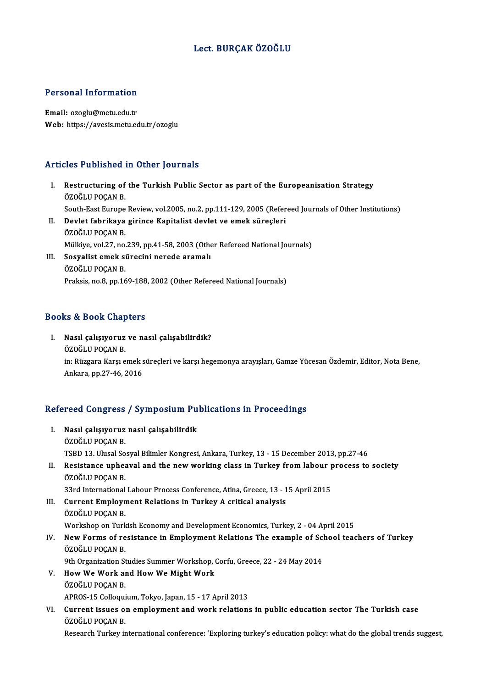# Lect. BURÇAK ÖZOĞLU

### Personal Information

Email: ozoglu@metu.edu.tr Web: https://avesis.metu.edu.tr/ozoglu

## Articles Published in Other Journals

rticles Published in Other Journals<br>I. Restructuring of the Turkish Public Sector as part of the Europeanisation Strategy<br>ÖZOČLU POCAN P Exce + abstract =<br>Restructuring of<br>ÖZOĞLU POÇAN B.<br>South Fost Europe Restructuring of the Turkish Public Sector as part of the Europeanisation Strategy<br>ÖZOĞLU POÇAN B.<br>South-East Europe Review, vol.2005, no.2, pp.111-129, 2005 (Refereed Journals of Other Institutions)<br>Dovlet febrikave girin ÖZOĞLU POÇAN B.<br>South-East Europe Review, vol.2005, no.2, pp.111-129, 2005 (Refer<br>II. Devlet fabrikaya girince Kapitalist devlet ve emek süreçleri<br>ÖZOĞLU POÇAN B. South-East Europe<br>Devlet fabrikaya<br>ÖZOĞLU POÇAN B.<br>Mülkive vol 27. ne Devlet fabrikaya girince Kapitalist devlet ve emek süreçleri<br>ÖZOĞLU POÇAN B.<br>Mülkiye, vol.27, no.239, pp.41-58, 2003 (Other Refereed National Journals)<br>Sesvelist emek süresini norede aramalı III. Sosyalist emek sürecini nerede aramalı<br>ÖZOĞLU POÇAN B. Mülkiye, vol.27, no.<br>Sosyalist emek s<br>ÖZOĞLU POÇAN B.<br>Proksis no 8, nn 16

Praksis, no.8, pp.169-188, 2002 (Other Refereed National Journals)

## Books&Book Chapters

ooks & Book Chapters<br>I. Nasıl çalışıyoruz ve nasıl çalışabilirdik?<br>ÖZQĞLU ROCAN R to & Soon Ghap<br>Nasıl çalışıyoruz<br>ÖZOĞLU POÇAN B.<br>in: Büzgara Karal o Nasıl çalışıyoruz ve nasıl çalışabilirdik?<br>ÖZOĞLU POÇAN B.<br>in: Rüzgara Karşı emek süreçleri ve karşı hegemonya arayışları, Gamze Yücesan Özdemir, Editor, Nota Bene,<br>Ankara, np.27,46,2016 ÖZOĞLU POÇAN B.<br>in: Rüzgara Karşı emek s<br>Ankara, pp.27-46, 2016

# Ankara, pp.27-46, 2016<br>Refereed Congress / Symposium Publications in Proceedings

- efereed Congress / Symposium Pu<br>I. Nasıl çalışıyoruz nasıl çalışabilirdik<br>ÖZOĞI U POCAN B I. Nasıl çalışıyoruz nasıl çalışabilirdik<br>ÖZOĞLU POÇAN B. TSBD 13. Ulusal Sosyal Bilimler Kongresi, Ankara, Turkey, 13 - 15 December 2013, pp.27-46 ÖZOĞLU POÇAN B.<br>TSBD 13. Ulusal Sosyal Bilimler Kongresi, Ankara, Turkey, 13 - 15 December 2013, pp.27-46<br>II. Resistance upheaval and the new working class in Turkey from labour process to society<br>ÖZOĞLU POCAN B TSBD 13. Ulusal So<br>Resistance uphea<br>ÖZOĞLU POÇAN B.<br><sup>22nd International</sup> Resistance upheaval and the new working class in Turkey from labour p<br>ÖZOĞLU POÇAN B.<br>33rd International Labour Process Conference, Atina, Greece, 13 - 15 April 2015<br>Cunnent Empleyment Belations in Turkey A suitisel analys ÖZOĞLU POÇAN B.<br>33rd International Labour Process Conference, Atina, Greece, 13 - 1<br>III. Current Employment Relations in Turkey A critical analysis<br>ÖZOĞLU POÇAN B. 33rd International Labour Process Conference, Atina, Greece, 13 - 15 April 2015 Workshop on Turkish Economy and Development Economics, Turkey, 2 - 04 April 2015 ÖZOĞLU POÇAN B.<br>Workshop on Turkish Economy and Development Economics, Turkey, 2 - 04 April 2015<br>IV. New Forms of resistance in Employment Relations The example of School teachers of Turkey<br>ÖZOĞLU POCAN P. Workshop on Turk<br>New Forms of re<br>ÖZOĞLU POÇAN B.<br><sup>Oth</sup> Organization St New Forms of resistance in Employment Relations The example of Sci<br>ÖZOĞLU POÇAN B.<br>9th Organization Studies Summer Workshop, Corfu, Greece, 22 - 24 May 2014<br>How Wo Work and How Wo Might Work. ÖZOĞLU POÇAN B.<br>9th Organization Studies Summer Workshop, Corfu, Greece, 22 - 24 May 2014<br>V. How We Work and How We Might Work ÖZOĞLU POÇAN B. How We Work and How We Might Work<br>ÖZOĞLU POÇAN B.<br>APROS-15 Colloquium, Tokyo, Japan, 15 - 17 April 2013<br>Current issues en empleument and work relations
- VI. Current issues on employment and work relations in public education sector The Turkish case APROS-15 Colloqui<br>Current issues o<br>ÖZOĞLU POÇAN B.<br>Besearab Turkov i:

Research Turkey international conference: 'Exploring turkey's education policy: what do the global trends suggest,